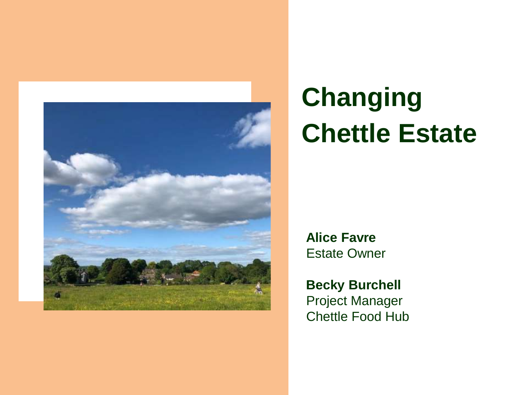

# **Changing Chettle Estate**

**Alice Favre**  Estate Owner

**Becky Burchell**  Project Manager Chettle Food Hub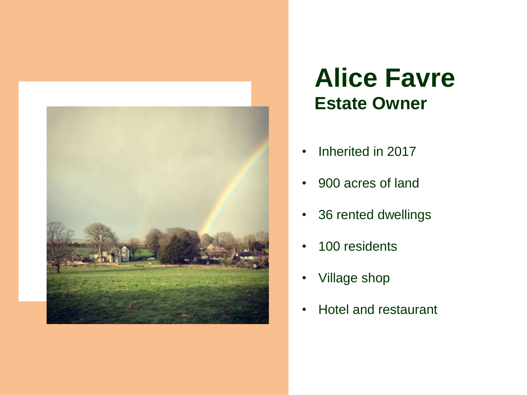

# **Alice Favre Estate Owner**

- Inherited in 2017
- 900 acres of land
- 36 rented dwellings
- 100 residents
- Village shop
- Hotel and restaurant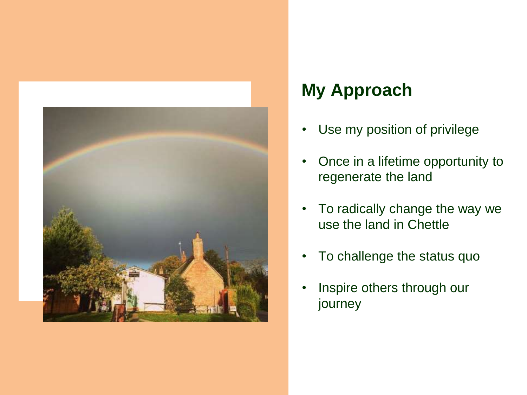

# **My Approach**

- Use my position of privilege
- Once in a lifetime opportunity to regenerate the land
- To radically change the way we use the land in Chettle
- To challenge the status quo
- Inspire others through our journey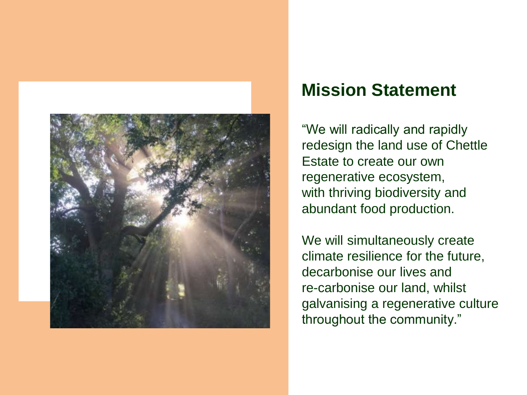

#### **Mission Statement**

"We will radically and rapidly redesign the land use of Chettle Estate to create our own regenerative ecosystem, with thriving biodiversity and abundant food production.

We will simultaneously create climate resilience for the future, decarbonise our lives and re-carbonise our land, whilst galvanising a regenerative culture throughout the community."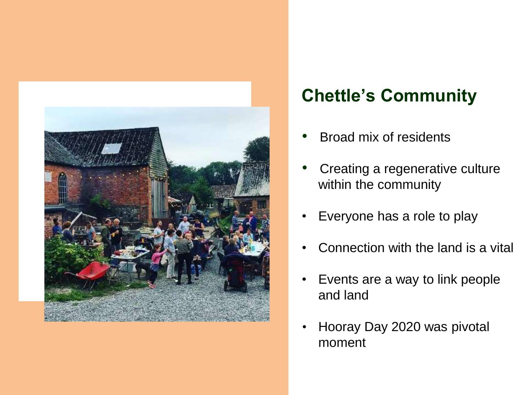

# **Chettle's Community**

- Broad mix of residents
- Creating a regenerative culture within the community
- Everyone has a role to play
- Connection with the land is a vital
- Events are a way to link people and land
- Hooray Day 2020 was pivotal moment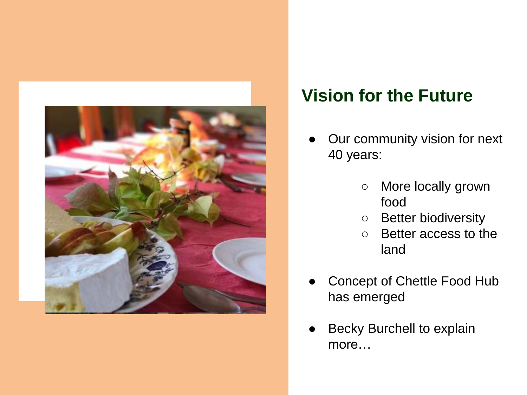

### **Vision for the Future**

- Our community vision for next 40 years:
	- More locally grown food
	- Better biodiversity
	- Better access to the land
- Concept of Chettle Food Hub has emerged
- Becky Burchell to explain more…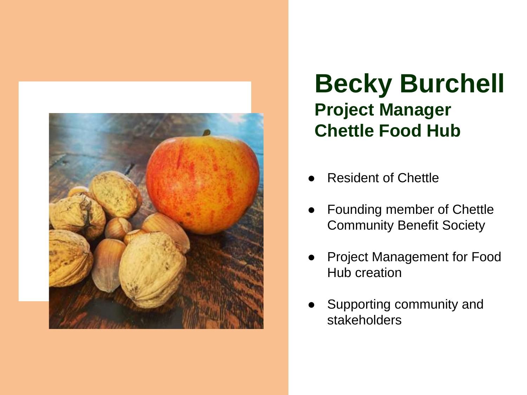

# **Becky Burchell Project Manager Chettle Food Hub**

- **Resident of Chettle**
- Founding member of Chettle Community Benefit Society
- Project Management for Food Hub creation
- Supporting community and stakeholders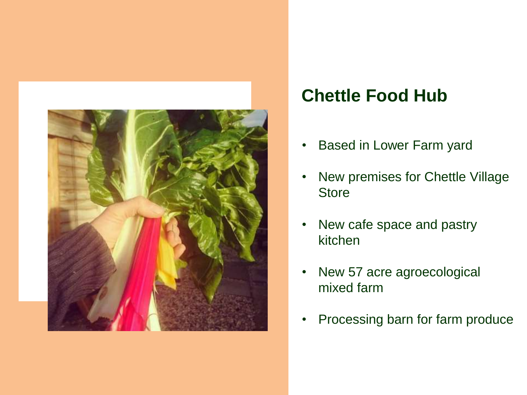

# **Chettle Food Hub**

- Based in Lower Farm yard
- New premises for Chettle Village **Store**
- New cafe space and pastry kitchen
- New 57 acre agroecological mixed farm
- Processing barn for farm produce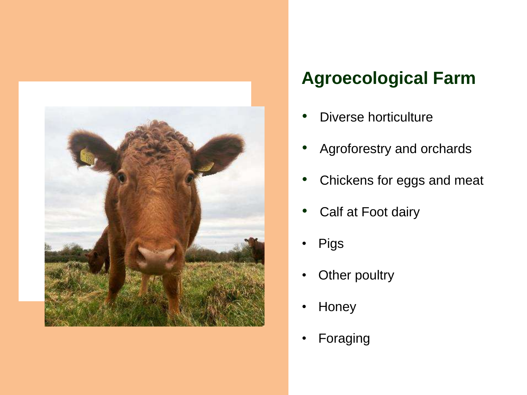

# **Agroecological Farm**

- Diverse horticulture
- Agroforestry and orchards
- Chickens for eggs and meat
- Calf at Foot dairy
- **Pigs**
- Other poultry
- **Honey**
- **Foraging**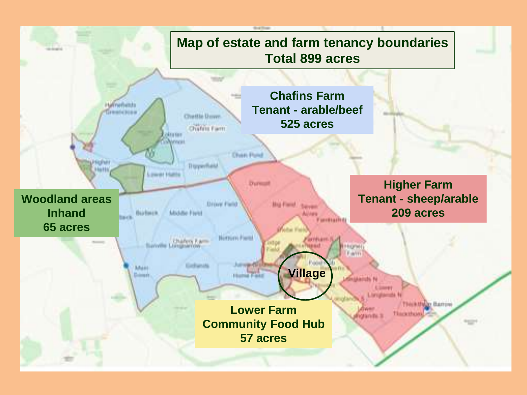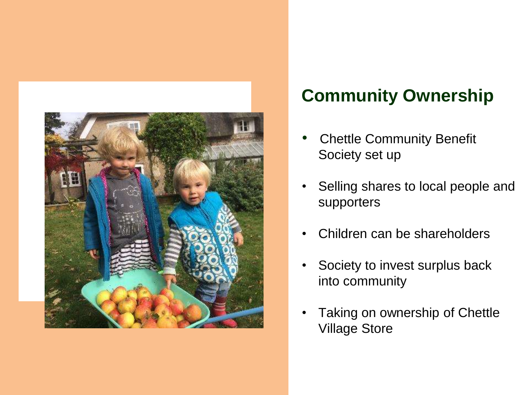

## **Community Ownership**

- **Chettle Community Benefit** Society set up
- Selling shares to local people and supporters
- Children can be shareholders
- Society to invest surplus back into community
- Taking on ownership of Chettle Village Store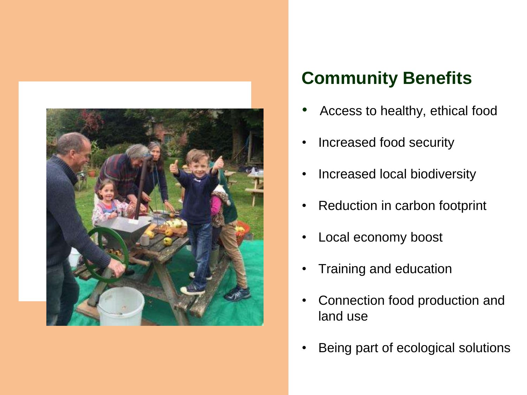

### **Community Benefits**

- Access to healthy, ethical food
- Increased food security
- Increased local biodiversity
- Reduction in carbon footprint
- Local economy boost
- Training and education
- Connection food production and land use
- Being part of ecological solutions